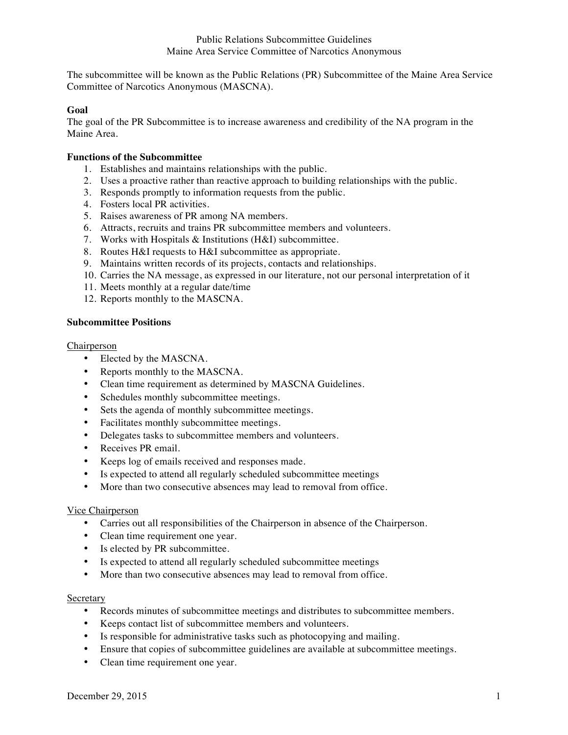# Public Relations Subcommittee Guidelines Maine Area Service Committee of Narcotics Anonymous

The subcommittee will be known as the Public Relations (PR) Subcommittee of the Maine Area Service Committee of Narcotics Anonymous (MASCNA).

## **Goal**

The goal of the PR Subcommittee is to increase awareness and credibility of the NA program in the Maine Area.

## **Functions of the Subcommittee**

- 1. Establishes and maintains relationships with the public.
- 2. Uses a proactive rather than reactive approach to building relationships with the public.
- 3. Responds promptly to information requests from the public.
- 4. Fosters local PR activities.
- 5. Raises awareness of PR among NA members.
- 6. Attracts, recruits and trains PR subcommittee members and volunteers.
- 7. Works with Hospitals & Institutions (H&I) subcommittee.
- 8. Routes H&I requests to H&I subcommittee as appropriate.
- 9. Maintains written records of its projects, contacts and relationships.
- 10. Carries the NA message, as expressed in our literature, not our personal interpretation of it
- 11. Meets monthly at a regular date/time
- 12. Reports monthly to the MASCNA.

## **Subcommittee Positions**

### Chairperson

- Elected by the MASCNA.
- Reports monthly to the MASCNA.
- Clean time requirement as determined by MASCNA Guidelines.
- Schedules monthly subcommittee meetings.
- Sets the agenda of monthly subcommittee meetings.
- Facilitates monthly subcommittee meetings.
- Delegates tasks to subcommittee members and volunteers.
- Receives PR email.
- Keeps log of emails received and responses made.
- Is expected to attend all regularly scheduled subcommittee meetings
- More than two consecutive absences may lead to removal from office.

### Vice Chairperson

- Carries out all responsibilities of the Chairperson in absence of the Chairperson.
- Clean time requirement one year.
- Is elected by PR subcommittee.
- Is expected to attend all regularly scheduled subcommittee meetings
- More than two consecutive absences may lead to removal from office.

### Secretary

- Records minutes of subcommittee meetings and distributes to subcommittee members.
- Keeps contact list of subcommittee members and volunteers.
- Is responsible for administrative tasks such as photocopying and mailing.
- Ensure that copies of subcommittee guidelines are available at subcommittee meetings.
- Clean time requirement one year.